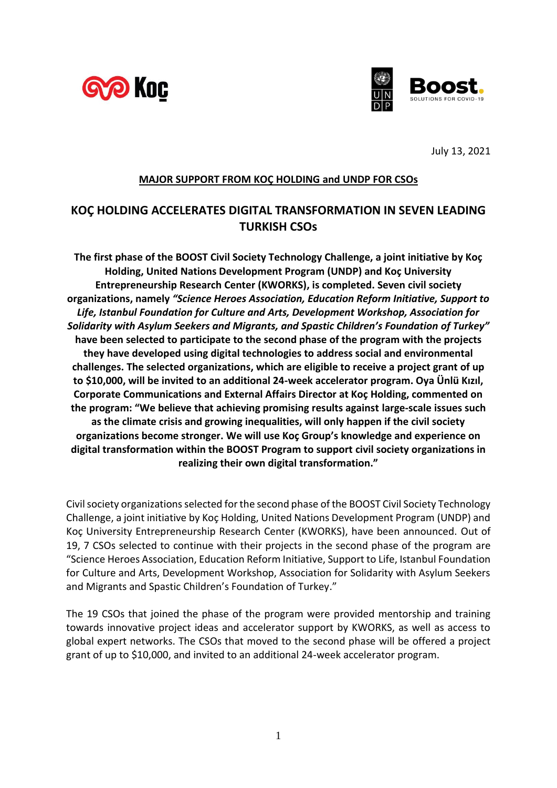



July 13, 2021

## **MAJOR SUPPORT FROM KOÇ HOLDING and UNDP FOR CSOs**

## **KOÇ HOLDING ACCELERATES DIGITAL TRANSFORMATION IN SEVEN LEADING TURKISH CSOs**

**The first phase of the BOOST Civil Society Technology Challenge, a joint initiative by Koç Holding, United Nations Development Program (UNDP) and Koç University Entrepreneurship Research Center (KWORKS), is completed. Seven civil society organizations, namely** *"Science Heroes Association, Education Reform Initiative, Support to Life, Istanbul Foundation for Culture and Arts, Development Workshop, Association for Solidarity with Asylum Seekers and Migrants, and Spastic Children's Foundation of Turkey"*  **have been selected to participate to the second phase of the program with the projects they have developed using digital technologies to address social and environmental challenges. The selected organizations, which are eligible to receive a project grant of up to \$10,000, will be invited to an additional 24-week accelerator program. Oya Ünlü Kızıl, Corporate Communications and External Affairs Director at Koç Holding, commented on the program: "We believe that achieving promising results against large-scale issues such as the climate crisis and growing inequalities, will only happen if the civil society organizations become stronger. We will use Koç Group's knowledge and experience on digital transformation within the BOOST Program to support civil society organizations in realizing their own digital transformation."**

Civil society organizations selected for the second phase of the BOOST Civil Society Technology Challenge, a joint initiative by Koç Holding, United Nations Development Program (UNDP) and Koç University Entrepreneurship Research Center (KWORKS), have been announced. Out of 19, 7 CSOs selected to continue with their projects in the second phase of the program are "Science Heroes Association, Education Reform Initiative, Support to Life, Istanbul Foundation for Culture and Arts, Development Workshop, Association for Solidarity with Asylum Seekers and Migrants and Spastic Children's Foundation of Turkey."

The 19 CSOs that joined the phase of the program were provided mentorship and training towards innovative project ideas and accelerator support by KWORKS, as well as access to global expert networks. The CSOs that moved to the second phase will be offered a project grant of up to \$10,000, and invited to an additional 24-week accelerator program.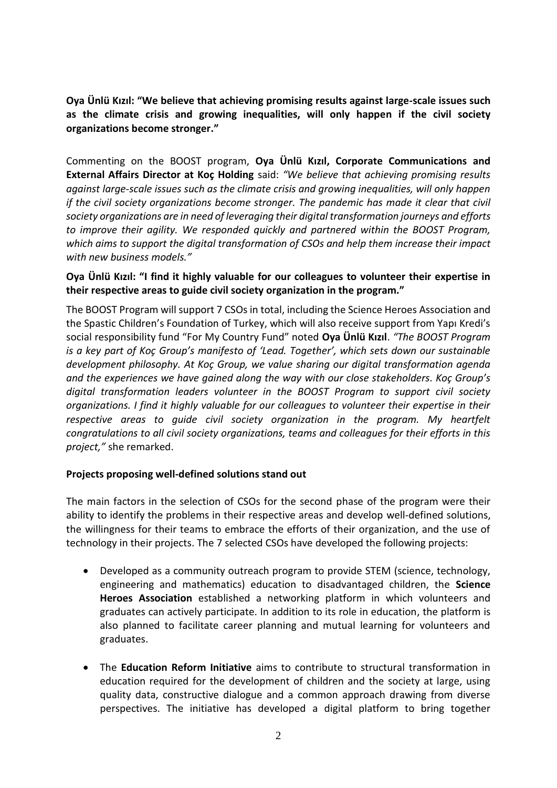**Oya Ünlü Kızıl: "We believe that achieving promising results against large-scale issues such as the climate crisis and growing inequalities, will only happen if the civil society organizations become stronger."**

Commenting on the BOOST program, **Oya Ünlü Kızıl, Corporate Communications and External Affairs Director at Koç Holding** said: *"We believe that achieving promising results against large-scale issues such as the climate crisis and growing inequalities, will only happen if the civil society organizations become stronger. The pandemic has made it clear that civil society organizations are in need of leveraging their digital transformation journeys and efforts to improve their agility. We responded quickly and partnered within the BOOST Program, which aims to support the digital transformation of CSOs and help them increase their impact with new business models."*

## **Oya Ünlü Kızıl: "I find it highly valuable for our colleagues to volunteer their expertise in their respective areas to guide civil society organization in the program."**

The BOOST Program will support 7 CSOs in total, including the Science Heroes Association and the Spastic Children's Foundation of Turkey, which will also receive support from Yapı Kredi's social responsibility fund "For My Country Fund" noted **Oya Ünlü Kızıl**. *"The BOOST Program is a key part of Koç Group's manifesto of 'Lead. Together', which sets down our sustainable development philosophy. At Koç Group, we value sharing our digital transformation agenda and the experiences we have gained along the way with our close stakeholders. Koç Group's digital transformation leaders volunteer in the BOOST Program to support civil society organizations. I find it highly valuable for our colleagues to volunteer their expertise in their respective areas to guide civil society organization in the program. My heartfelt congratulations to all civil society organizations, teams and colleagues for their efforts in this project,"* she remarked.

## **Projects proposing well-defined solutions stand out**

The main factors in the selection of CSOs for the second phase of the program were their ability to identify the problems in their respective areas and develop well-defined solutions, the willingness for their teams to embrace the efforts of their organization, and the use of technology in their projects. The 7 selected CSOs have developed the following projects:

- Developed as a community outreach program to provide STEM (science, technology, engineering and mathematics) education to disadvantaged children, the **Science Heroes Association** established a networking platform in which volunteers and graduates can actively participate. In addition to its role in education, the platform is also planned to facilitate career planning and mutual learning for volunteers and graduates.
- The **Education Reform Initiative** aims to contribute to structural transformation in education required for the development of children and the society at large, using quality data, constructive dialogue and a common approach drawing from diverse perspectives. The initiative has developed a digital platform to bring together